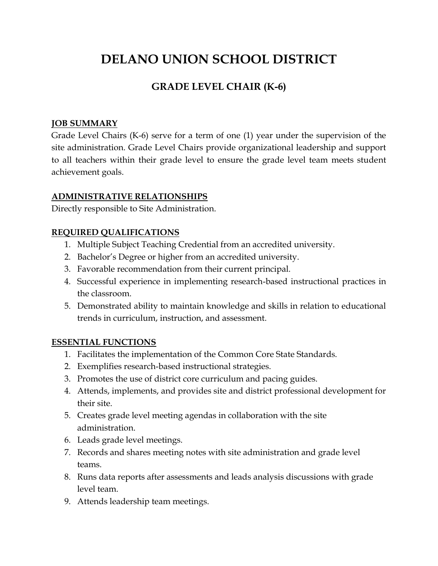# **DELANO UNION SCHOOL DISTRICT**

## **GRADE LEVEL CHAIR (K-6)**

### **JOB SUMMARY**

Grade Level Chairs (K-6) serve for a term of one (1) year under the supervision of the site administration. Grade Level Chairs provide organizational leadership and support to all teachers within their grade level to ensure the grade level team meets student achievement goals.

### **ADMINISTRATIVE RELATIONSHIPS**

Directly responsible to Site Administration.

### **REQUIRED QUALIFICATIONS**

- 1. Multiple Subject Teaching Credential from an accredited university.
- 2. Bachelor's Degree or higher from an accredited university.
- 3. Favorable recommendation from their current principal.
- 4. Successful experience in implementing research-based instructional practices in the classroom.
- 5. Demonstrated ability to maintain knowledge and skills in relation to educational trends in curriculum, instruction, and assessment.

#### **ESSENTIAL FUNCTIONS**

- 1. Facilitates the implementation of the Common Core State Standards.
- 2. Exemplifies research-based instructional strategies.
- 3. Promotes the use of district core curriculum and pacing guides.
- 4. Attends, implements, and provides site and district professional development for their site.
- 5. Creates grade level meeting agendas in collaboration with the site administration.
- 6. Leads grade level meetings.
- 7. Records and shares meeting notes with site administration and grade level teams.
- 8. Runs data reports after assessments and leads analysis discussions with grade level team.
- 9. Attends leadership team meetings.